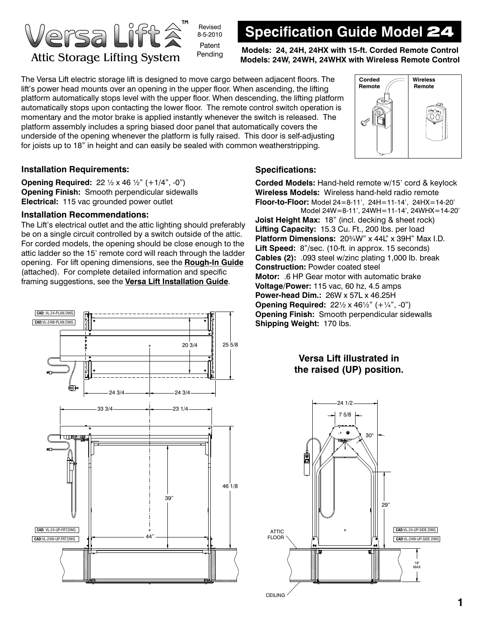

# **Specification Guide Model** 24

**Attic Storage Lifting System** Pending Models: 24, 24H, 24HX with 15-ft. Corded Remote Control Models: 24W, 24WH, 24WHX with Wireless Remote Control

The Versa Lift electric storage lift is designed to move cargo between adjacent floors. The lift's power head mounts over an opening in the upper floor. When ascending, the lifting platform automatically stops level with the upper floor. When descending, the lifting platform automatically stops upon contacting the lower floor. The remote control switch operation is momentary and the motor brake is applied instantly whenever the switch is released. The platform assembly includes a spring biased door panel that automatically covers the underside of the opening whenever the platform is fully raised. This door is self-adjusting for joists up to 18" in height and can easily be sealed with common weatherstripping.



### **Installation Requirements:**

**Opening Required:** 22 ½ x 46 ½" (+1/4", -0") **Opening Finish:** Smooth perpendicular sidewalls **Electrical:** 115 vac grounded power outlet

### **Installation Recommendations:**

The Lift's electrical outlet and the attic lighting should preferably be on a single circuit controlled by a switch outside of the attic. For corded models, the opening should be close enough to the attic ladder so the 15' remote cord will reach through the ladder opening. For lift opening dimensions, see the **Rough-In Guide** (attached). For complete detailed information and specific framing suggestions, see the **Versa Lift Installation Guide**.



### **Specifications:**

**Corded Models:** Hand-held remote w/15' cord & keylock **Wireless Models:** Wireless hand-held radio remote **Floor-to-Floor:** Model 24=8-11', 24H=11-14', 24HX=14-20' Model 24W=8-11', 24WH=11-14', 24WHX=14-20' **Joist Height Max:** 18" (incl. decking & sheet rock) **Lifting Capacity:** 15.3 Cu. Ft., 200 lbs. per load **Platform Dimensions:** 20¾W" x 44L" x 39H" Max I.D. **Lift Speed:** 8"/sec. (10-ft. in approx. 15 seconds) **Cables (2):** .093 steel w/zinc plating 1,000 lb. break **Construction:** Powder coated steel **Motor:** .6 HP Gear motor with automatic brake **Voltage/Power:** 115 vac, 60 hz, 4.5 amps **Power-head Dim.:** 26W x 57L x 46.25H **Opening Required:** 22½ x 46½" (+¼", -0") **Opening Finish:** Smooth perpendicular sidewalls **Shipping Weight:** 170 lbs.

## **Versa Lift illustrated in the raised (UP) position.**

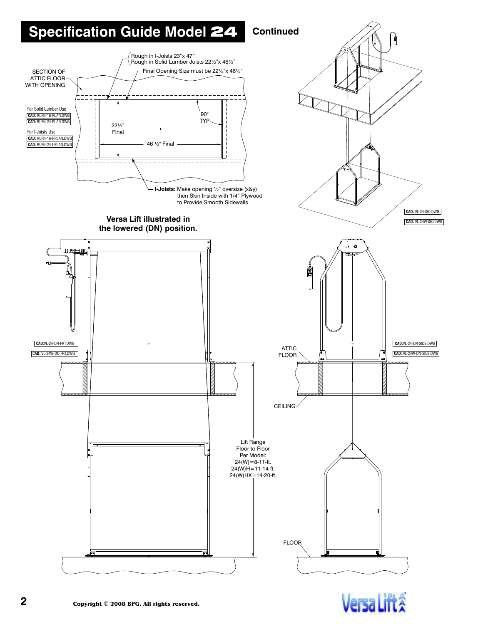# **Specification Guide Model 24 Continued**

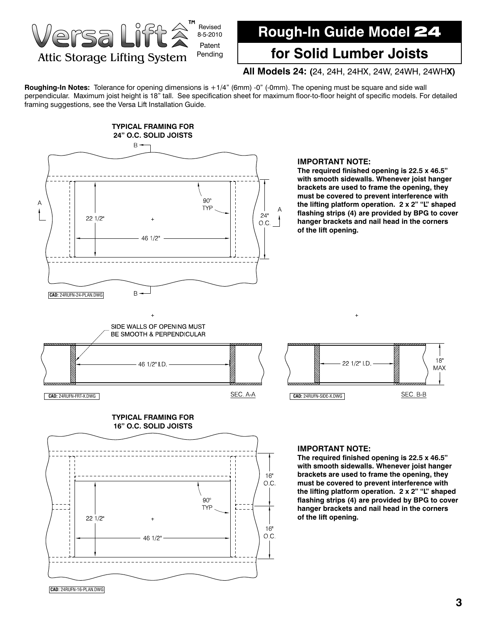

# **Rough-In Guide Model** 24

## **for Solid Lumber Joists**

### **All Models 24: (**24, 24H, 24HX, 24W, 24WH, 24WH**X)**

**Roughing-In Notes:** Tolerance for opening dimensions is +1/4" (6mm) -0" (-0mm). The opening must be square and side wall perpendicular. Maximum joist height is 18" tall. See specification sheet for maximum floor-to-floor height of specific models. For detailed framing suggestions, see the Versa Lift Installation Guide.



#### **IMPORTANT NOTE:**

**The required finished opening is 22.5 x 46.5" with smooth sidewalls. Whenever joist hanger brackets are used to frame the opening, they must be covered to prevent interference with the lifting platform operation. 2 x 2" "L" shaped flashing strips (4) are provided by BPG to cover hanger brackets and nail head in the corners of the lift opening.** 







#### **IMPORTANT NOTE:**

**The required finished opening is 22.5 x 46.5" with smooth sidewalls. Whenever joist hanger brackets are used to frame the opening, they must be covered to prevent interference with the lifting platform operation. 2 x 2" "L" shaped flashing strips (4) are provided by BPG to cover hanger brackets and nail head in the corners of the lift opening.**